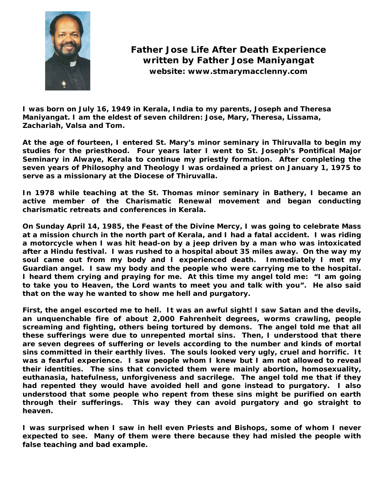

## **Father Jose Life After Death Experience written by Father Jose Maniyangat website: www.stmarymacclenny.com**

**I was born on July 16, 1949 in Kerala, India to my parents, Joseph and Theresa Maniyangat. I am the eldest of seven children: Jose, Mary, Theresa, Lissama, Zachariah, Valsa and Tom.** 

**At the age of fourteen, I entered St. Mary's minor seminary in Thiruvalla to begin my studies for the priesthood. Four years later I went to St. Joseph's Pontifical Major Seminary in Alwaye, Kerala to continue my priestly formation. After completing the seven years of Philosophy and Theology I was ordained a priest on January 1, 1975 to serve as a missionary at the Diocese of Thiruvalla.** 

**In 1978 while teaching at the St. Thomas minor seminary in Bathery, I became an active member of the Charismatic Renewal movement and began conducting charismatic retreats and conferences in Kerala.** 

**On Sunday April 14, 1985, the Feast of the Divine Mercy, I was going to celebrate Mass at a mission church in the north part of Kerala, and I had a fatal accident. I was riding a motorcycle when I was hit head-on by a jeep driven by a man who was intoxicated after a Hindu festival. I was rushed to a hospital about 35 miles away. On the way my soul came out from my body and I experienced death. Immediately I met my Guardian angel. I saw my body and the people who were carrying me to the hospital. I heard them crying and praying for me. At this time my angel told me: "I am going to take you to Heaven, the Lord wants to meet you and talk with you". He also said that on the way he wanted to show me hell and purgatory.** 

**First, the angel escorted me to hell. It was an awful sight! I saw Satan and the devils, an unquenchable fire of about 2,000 Fahrenheit degrees, worms crawling, people screaming and fighting, others being tortured by demons. The angel told me that all these sufferings were due to unrepented mortal sins. Then, I understood that there are seven degrees of suffering or levels according to the number and kinds of mortal sins committed in their earthly lives. The souls looked very ugly, cruel and horrific. It was a fearful experience. I saw people whom I knew but I am not allowed to reveal their identities. The sins that convicted them were mainly abortion, homosexuality, euthanasia, hatefulness, unforgiveness and sacrilege. The angel told me that if they had repented they would have avoided hell and gone instead to purgatory. I also understood that some people who repent from these sins might be purified on earth through their sufferings. This way they can avoid purgatory and go straight to heaven.** 

**I was surprised when I saw in hell even Priests and Bishops, some of whom I never expected to see. Many of them were there because they had misled the people with false teaching and bad example.**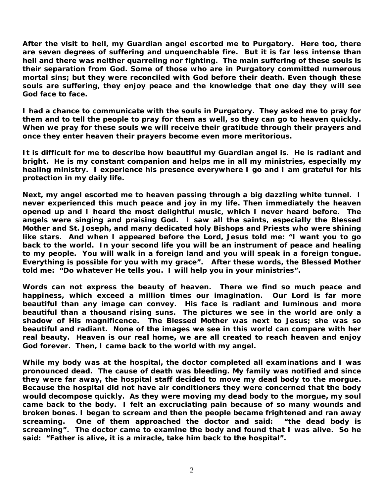**After the visit to hell, my Guardian angel escorted me to Purgatory. Here too, there are seven degrees of suffering and unquenchable fire. But it is far less intense than hell and there was neither quarreling nor fighting. The main suffering of these souls is their separation from God. Some of those who are in Purgatory committed numerous mortal sins; but they were reconciled with God before their death. Even though these souls are suffering, they enjoy peace and the knowledge that one day they will see God face to face.** 

**I had a chance to communicate with the souls in Purgatory. They asked me to pray for them and to tell the people to pray for them as well, so they can go to heaven quickly. When we pray for these souls we will receive their gratitude through their prayers and once they enter heaven their prayers become even more meritorious.** 

**It is difficult for me to describe how beautiful my Guardian angel is. He is radiant and bright. He is my constant companion and helps me in all my ministries, especially my healing ministry. I experience his presence everywhere I go and I am grateful for his protection in my daily life.** 

**Next, my angel escorted me to heaven passing through a big dazzling white tunnel. I never experienced this much peace and joy in my life. Then immediately the heaven opened up and I heard the most delightful music, which I never heard before. The angels were singing and praising God. I saw all the saints, especially the Blessed Mother and St. Joseph, and many dedicated holy Bishops and Priests who were shining like stars. And when I appeared before the Lord, Jesus told me: "I want you to go back to the world. In your second life you will be an instrument of peace and healing to my people. You will walk in a foreign land and you will speak in a foreign tongue. Everything is possible for you with my grace". After these words, the Blessed Mother told me: "Do whatever He tells you. I will help you in your ministries".** 

**Words can not express the beauty of heaven. There we find so much peace and happiness, which exceed a million times our imagination. Our Lord is far more beautiful than any image can convey. His face is radiant and luminous and more beautiful than a thousand rising suns. The pictures we see in the world are only a shadow of His magnificence. The Blessed Mother was next to Jesus; she was so beautiful and radiant. None of the images we see in this world can compare with her real beauty. Heaven is our real home, we are all created to reach heaven and enjoy God forever. Then, I came back to the world with my angel.** 

**While my body was at the hospital, the doctor completed all examinations and I was pronounced dead. The cause of death was bleeding. My family was notified and since they were far away, the hospital staff decided to move my dead body to the morgue. Because the hospital did not have air conditioners they were concerned that the body would decompose quickly. As they were moving my dead body to the morgue, my soul came back to the body. I felt an excruciating pain because of so many wounds and broken bones. I began to scream and then the people became frightened and ran away screaming. One of them approached the doctor and said: "the dead body is screaming". The doctor came to examine the body and found that I was alive. So he said: "Father is alive, it is a miracle, take him back to the hospital".**